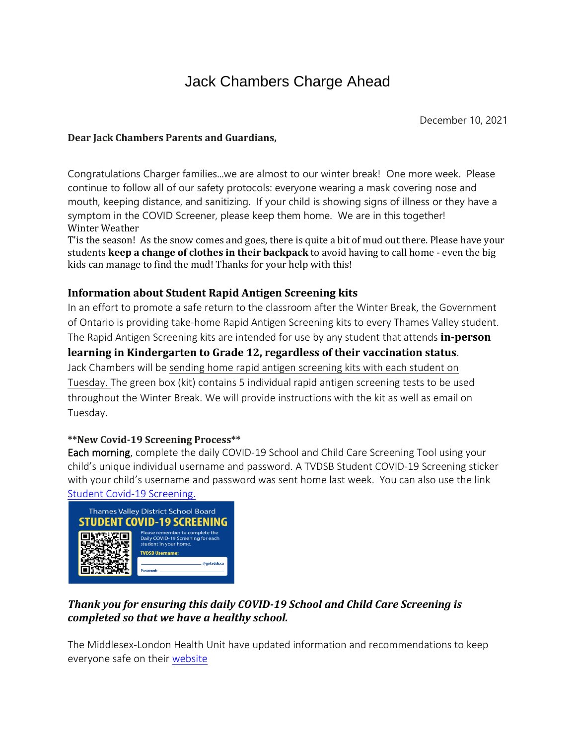# Jack Chambers Charge Ahead

December 10, 2021

#### **Dear Jack Chambers Parents and Guardians,**

Congratulations Charger families...we are almost to our winter break! One more week. Please continue to follow all of our safety protocols: everyone wearing a mask covering nose and mouth, keeping distance, and sanitizing. If your child is showing signs of illness or they have a symptom in the COVID Screener, please keep them home. We are in this together! Winter Weather

T'is the season! As the snow comes and goes, there is quite a bit of mud out there. Please have your students **keep a change of clothes in their backpack** to avoid having to call home - even the big kids can manage to find the mud! Thanks for your help with this!

#### **Information about Student Rapid Antigen Screening kits**

In an effort to promote a safe return to the classroom after the Winter Break, the Government of Ontario is providing take-home Rapid Antigen Screening kits to every Thames Valley student. The Rapid Antigen Screening kits are intended for use by any student that attends **in-person learning in Kindergarten to Grade 12, regardless of their vaccination status**. Jack Chambers will be sending home rapid antigen screening kits with each student on Tuesday. The green box (kit) contains 5 individual rapid antigen screening tests to be used throughout the Winter Break. We will provide instructions with the kit as well as email on Tuesday.

#### **\*\*New Covid-19 Screening Process\*\***

Each morning, complete the daily COVID-19 School and Child Care Screening Tool using your child's unique individual username and password. A TVDSB Student COVID-19 Screening sticker with your child's username and password was sent home last week. You can also use the link Student Covid-19 [Screening.](https://schoolapps2.tvdsb.ca/students/covid_screening_verification/)



### *Thank you for ensuring this daily COVID-19 School and Child Care Screening is completed so that we have a healthy school.*

The Middlesex-London Health Unit have updated information and recommendations to keep everyone safe on their [website](https://www.healthunit.com/news/letter-of-recommendation?fbclid=IwAR1gq7JSJzYm4ui4mk1cHAzb9-uPNmCF_L-wwZKqhR_j5PEQ_7daFticRBk)